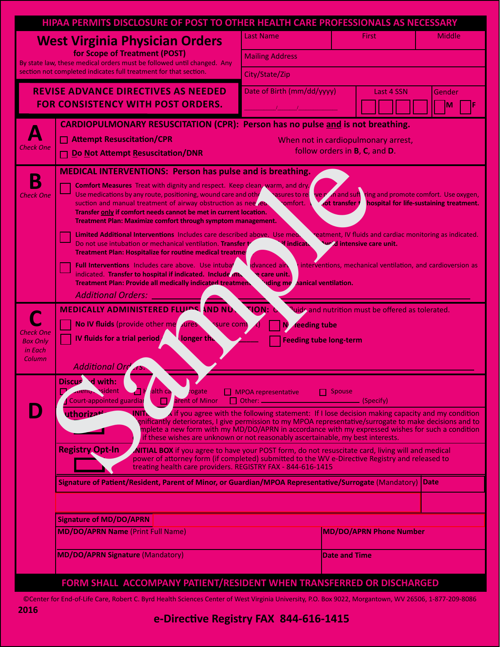|                                                                                                                                                                                                                      | HIPAA PERMITS DISCLOSURE OF POST TO OTHER HEALTH CARE PROFESSIONALS AS NECESSARY                                                                                                                                                                                                                                                                                                                                                                                                                                                                                                                                                                                                                                                                                                                                                                                                                       |                                         |                      |                                                          |        |  |  |  |  |
|----------------------------------------------------------------------------------------------------------------------------------------------------------------------------------------------------------------------|--------------------------------------------------------------------------------------------------------------------------------------------------------------------------------------------------------------------------------------------------------------------------------------------------------------------------------------------------------------------------------------------------------------------------------------------------------------------------------------------------------------------------------------------------------------------------------------------------------------------------------------------------------------------------------------------------------------------------------------------------------------------------------------------------------------------------------------------------------------------------------------------------------|-----------------------------------------|----------------------|----------------------------------------------------------|--------|--|--|--|--|
| <b>West Virginia Physician Orders</b><br>for Scope of Treatment (POST)<br>By state law, these medical orders must be followed until changed. Any<br>section not completed indicates full treatment for that section. |                                                                                                                                                                                                                                                                                                                                                                                                                                                                                                                                                                                                                                                                                                                                                                                                                                                                                                        | <b>Last Name</b>                        | <b>First</b>         | <b>Middle</b>                                            |        |  |  |  |  |
|                                                                                                                                                                                                                      |                                                                                                                                                                                                                                                                                                                                                                                                                                                                                                                                                                                                                                                                                                                                                                                                                                                                                                        | <b>Mailing Address</b>                  |                      |                                                          |        |  |  |  |  |
|                                                                                                                                                                                                                      |                                                                                                                                                                                                                                                                                                                                                                                                                                                                                                                                                                                                                                                                                                                                                                                                                                                                                                        | City/State/Zip                          |                      |                                                          |        |  |  |  |  |
| <b>REVISE ADVANCE DIRECTIVES AS NEEDED</b><br><b>FOR CONSISTENCY WITH POST ORDERS.</b>                                                                                                                               |                                                                                                                                                                                                                                                                                                                                                                                                                                                                                                                                                                                                                                                                                                                                                                                                                                                                                                        | Date of Birth (mm/dd/yyyy)              |                      | Last 4 SSN                                               | Gender |  |  |  |  |
|                                                                                                                                                                                                                      |                                                                                                                                                                                                                                                                                                                                                                                                                                                                                                                                                                                                                                                                                                                                                                                                                                                                                                        |                                         |                      |                                                          |        |  |  |  |  |
|                                                                                                                                                                                                                      | <b>CARDIOPULMONARY RESUSCITATION (CPR): Person has no pulse and is not breathing.</b>                                                                                                                                                                                                                                                                                                                                                                                                                                                                                                                                                                                                                                                                                                                                                                                                                  |                                         |                      |                                                          |        |  |  |  |  |
| <b>Check One</b>                                                                                                                                                                                                     | □ Attempt Resuscitation/CPR<br>When not in cardiopulmonary arrest,                                                                                                                                                                                                                                                                                                                                                                                                                                                                                                                                                                                                                                                                                                                                                                                                                                     |                                         |                      |                                                          |        |  |  |  |  |
|                                                                                                                                                                                                                      | follow orders in <b>B</b> , <b>C</b> , and <b>D</b> .<br>Do Not Attempt Resuscitation/DNR                                                                                                                                                                                                                                                                                                                                                                                                                                                                                                                                                                                                                                                                                                                                                                                                              |                                         |                      |                                                          |        |  |  |  |  |
|                                                                                                                                                                                                                      | <b>MEDICAL INTERVENTIONS: Person has pulse and is breathing.</b>                                                                                                                                                                                                                                                                                                                                                                                                                                                                                                                                                                                                                                                                                                                                                                                                                                       |                                         |                      |                                                          |        |  |  |  |  |
| <b>Check One</b>                                                                                                                                                                                                     | <b>Comfort Measures</b> Treat with dignity and respect. Keep clean, warm, and dry.<br>Use medications by any route, positioning, wound care and other<br>sasures to rel<br>ve point and suff ring and promote comfort. Use oxygen,                                                                                                                                                                                                                                                                                                                                                                                                                                                                                                                                                                                                                                                                     |                                         |                      |                                                          |        |  |  |  |  |
|                                                                                                                                                                                                                      | <b>ot transfer</b>                                                                                                                                                                                                                                                                                                                                                                                                                                                                                                                                                                                                                                                                                                                                                                                                                                                                                     | hospital for life-sustaining treatment. |                      |                                                          |        |  |  |  |  |
|                                                                                                                                                                                                                      | Transfer only if comfort needs cannot be met in current location.<br>Treatment Plan: Maximize comfort through symptom management.                                                                                                                                                                                                                                                                                                                                                                                                                                                                                                                                                                                                                                                                                                                                                                      |                                         |                      |                                                          |        |  |  |  |  |
|                                                                                                                                                                                                                      | Limited Additional Interventions Includes care described above. Use med.<br>eatment, IV fluids and cardiac monitoring as indicated.                                                                                                                                                                                                                                                                                                                                                                                                                                                                                                                                                                                                                                                                                                                                                                    |                                         |                      |                                                          |        |  |  |  |  |
|                                                                                                                                                                                                                      | Do not use intubation or mechanical ventilation. Transfer to<br><b>We'd intensive care unit.</b><br>f indica <b>\</b><br><b>Treatment Plan: Hospitalize for routine medical treatmer</b><br>Full Interventions Includes care above. Use intubar<br>dvanced air<br>interventions, mechanical ventilation, and cardioversion as<br>indicated. Transfer to hospital if indicated. Include AN<br>e care unit.                                                                                                                                                                                                                                                                                                                                                                                                                                                                                              |                                         |                      |                                                          |        |  |  |  |  |
|                                                                                                                                                                                                                      |                                                                                                                                                                                                                                                                                                                                                                                                                                                                                                                                                                                                                                                                                                                                                                                                                                                                                                        |                                         |                      |                                                          |        |  |  |  |  |
|                                                                                                                                                                                                                      | <b>Treatment Plan: Provide all medically indicated treatment</b>                                                                                                                                                                                                                                                                                                                                                                                                                                                                                                                                                                                                                                                                                                                                                                                                                                       | <b>uding me</b>                         | hanical ventilation. |                                                          |        |  |  |  |  |
|                                                                                                                                                                                                                      |                                                                                                                                                                                                                                                                                                                                                                                                                                                                                                                                                                                                                                                                                                                                                                                                                                                                                                        |                                         |                      |                                                          |        |  |  |  |  |
|                                                                                                                                                                                                                      | MEDICALLY ADMINISTERED FLUPS AND NU                                                                                                                                                                                                                                                                                                                                                                                                                                                                                                                                                                                                                                                                                                                                                                                                                                                                    | <b>NON:</b>                             |                      | <b>Tuids and nutrition must be offered as tolerated.</b> |        |  |  |  |  |
| <b>Check One</b>                                                                                                                                                                                                     | No IV fluids (provide other me sures<br>sure com<br>reeding tube                                                                                                                                                                                                                                                                                                                                                                                                                                                                                                                                                                                                                                                                                                                                                                                                                                       |                                         |                      |                                                          |        |  |  |  |  |
| <b>Box Only</b><br>in Each                                                                                                                                                                                           | IV fluids for a trial period/<br>longer the                                                                                                                                                                                                                                                                                                                                                                                                                                                                                                                                                                                                                                                                                                                                                                                                                                                            | <b>Feeding tube long-term</b>           |                      |                                                          |        |  |  |  |  |
| Column                                                                                                                                                                                                               | <b>Additional Ord</b>                                                                                                                                                                                                                                                                                                                                                                                                                                                                                                                                                                                                                                                                                                                                                                                                                                                                                  |                                         |                      |                                                          |        |  |  |  |  |
|                                                                                                                                                                                                                      | Discused with:                                                                                                                                                                                                                                                                                                                                                                                                                                                                                                                                                                                                                                                                                                                                                                                                                                                                                         |                                         |                      |                                                          |        |  |  |  |  |
|                                                                                                                                                                                                                      | $H$ alth ca<br><b>Trenty Sident</b><br>rogate                                                                                                                                                                                                                                                                                                                                                                                                                                                                                                                                                                                                                                                                                                                                                                                                                                                          | $\Box$ MPOA representative              | $\Box$ Spouse        |                                                          |        |  |  |  |  |
|                                                                                                                                                                                                                      | Court-appointed guardiar<br>arent of Minor<br>$\lambda$ if you agree with the following statement: If I lose decision making capacity and my condition<br>uthorizat<br>INIT.<br>gnificantly deteriorates, I give permission to my MPOA representative/surrogate to make decisions and to<br>mplete a new form with my MD/DO/APRN in accordance with my expressed wishes for such a condition<br>if these wishes are unknown or not reasonably ascertainable, my best interests.<br><b>Registry Opt-In</b><br><b>AITIAL BOX</b> if you agree to have your POST form, do not resuscitate card, living will and medical<br>power of attorney form (if completed) submitted to the WV e-Directive Registry and released to<br>treating health care providers. REGISTRY FAX - 844-616-1415<br>Date<br>Signature of Patient/Resident, Parent of Minor, or Guardian/MPOA Representative/Surrogate (Mandatory) |                                         |                      |                                                          |        |  |  |  |  |
|                                                                                                                                                                                                                      |                                                                                                                                                                                                                                                                                                                                                                                                                                                                                                                                                                                                                                                                                                                                                                                                                                                                                                        |                                         |                      |                                                          |        |  |  |  |  |
|                                                                                                                                                                                                                      |                                                                                                                                                                                                                                                                                                                                                                                                                                                                                                                                                                                                                                                                                                                                                                                                                                                                                                        |                                         |                      |                                                          |        |  |  |  |  |
|                                                                                                                                                                                                                      |                                                                                                                                                                                                                                                                                                                                                                                                                                                                                                                                                                                                                                                                                                                                                                                                                                                                                                        |                                         |                      |                                                          |        |  |  |  |  |
|                                                                                                                                                                                                                      |                                                                                                                                                                                                                                                                                                                                                                                                                                                                                                                                                                                                                                                                                                                                                                                                                                                                                                        |                                         |                      |                                                          |        |  |  |  |  |
|                                                                                                                                                                                                                      |                                                                                                                                                                                                                                                                                                                                                                                                                                                                                                                                                                                                                                                                                                                                                                                                                                                                                                        |                                         |                      |                                                          |        |  |  |  |  |
|                                                                                                                                                                                                                      | <b>Signature of MD/DO/APRN</b>                                                                                                                                                                                                                                                                                                                                                                                                                                                                                                                                                                                                                                                                                                                                                                                                                                                                         |                                         |                      |                                                          |        |  |  |  |  |
|                                                                                                                                                                                                                      | <b>MD/DO/APRN Name (Print Full Name)</b>                                                                                                                                                                                                                                                                                                                                                                                                                                                                                                                                                                                                                                                                                                                                                                                                                                                               |                                         |                      | <b>MD/DO/APRN Phone Number</b>                           |        |  |  |  |  |
|                                                                                                                                                                                                                      | <b>MD/DO/APRN Signature (Mandatory)</b>                                                                                                                                                                                                                                                                                                                                                                                                                                                                                                                                                                                                                                                                                                                                                                                                                                                                |                                         | <b>Date and Time</b> |                                                          |        |  |  |  |  |
|                                                                                                                                                                                                                      |                                                                                                                                                                                                                                                                                                                                                                                                                                                                                                                                                                                                                                                                                                                                                                                                                                                                                                        |                                         |                      |                                                          |        |  |  |  |  |

## **FORM SHALL ACCOMPANY PATIENT/RESIDENT WHEN TRANSFERRED OR DISCHARGED**

©Center for End-of-Life Care, Robert C. Byrd Health Sciences Center of West Virginia University, P.O. Box 9022, Morgantown, WV 26506, 1-877-209-8086

# **e-Directive Registry FAX 844-616-1415**